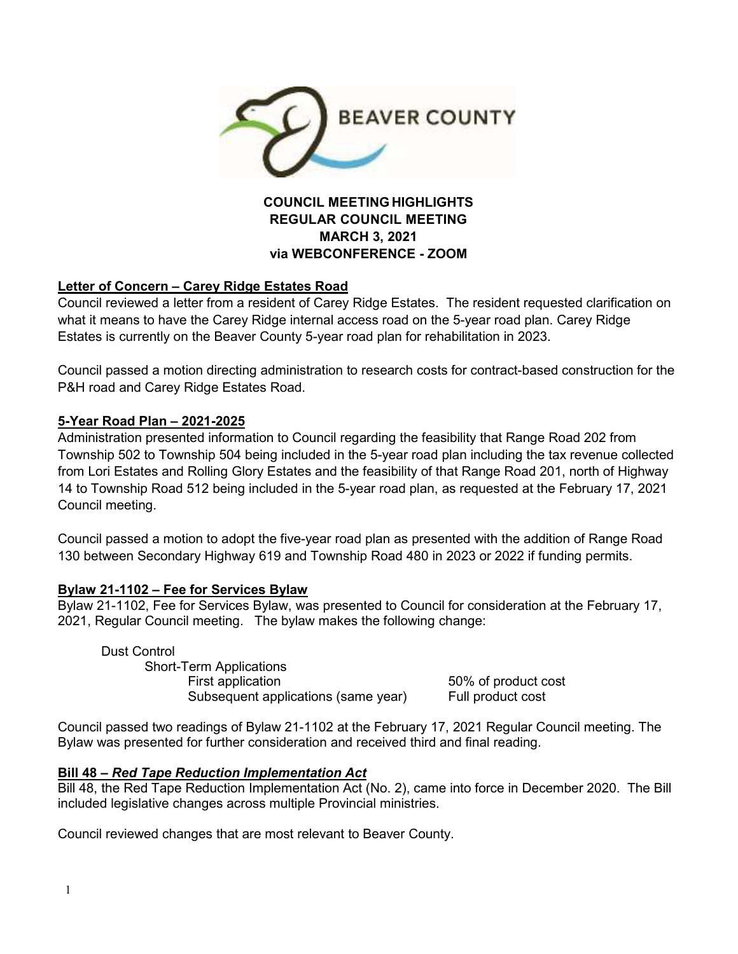

# **MARCH 3, 2021 via WEBCONFERENCE - ZOOM**

# **Letter of Concern – Carey Ridge Estates Road**

Council reviewed a letter from a resident of Carey Ridge Estates. The resident requested clarification on what it means to have the Carey Ridge internal access road on the 5-year road plan. Carey Ridge Estates is currently on the Beaver County 5-year road plan for rehabilitation in 2023.

Council passed a motion directing administration to research costs for contract-based construction for the P&H road and Carey Ridge Estates Road.

# **5-Year Road Plan – 2021-2025**

Administration presented information to Council regarding the feasibility that Range Road 202 from Township 502 to Township 504 being included in the 5-year road plan including the tax revenue collected from Lori Estates and Rolling Glory Estates and the feasibility of that Range Road 201, north of Highway 14 to Township Road 512 being included in the 5-year road plan, as requested at the February 17, 2021 Council meeting.

Council passed a motion to adopt the five-year road plan as presented with the addition of Range Road 130 between Secondary Highway 619 and Township Road 480 in 2023 or 2022 if funding permits.

# **Bylaw 21-1102 – Fee for Services Bylaw**

Bylaw 21-1102, Fee for Services Bylaw, was presented to Council for consideration at the February 17, 2021, Regular Council meeting. The bylaw makes the following change:

 Dust Control Short-Term Applications First application 60% of product cost Subsequent applications (same year) Full product cost

Council passed two readings of Bylaw 21-1102 at the February 17, 2021 Regular Council meeting. The Bylaw was presented for further consideration and received third and final reading.

#### **Bill 48 –** *Red Tape Reduction Implementation Act*

Bill 48, the Red Tape Reduction Implementation Act (No. 2), came into force in December 2020. The Bill included legislative changes across multiple Provincial ministries.

Council reviewed changes that are most relevant to Beaver County.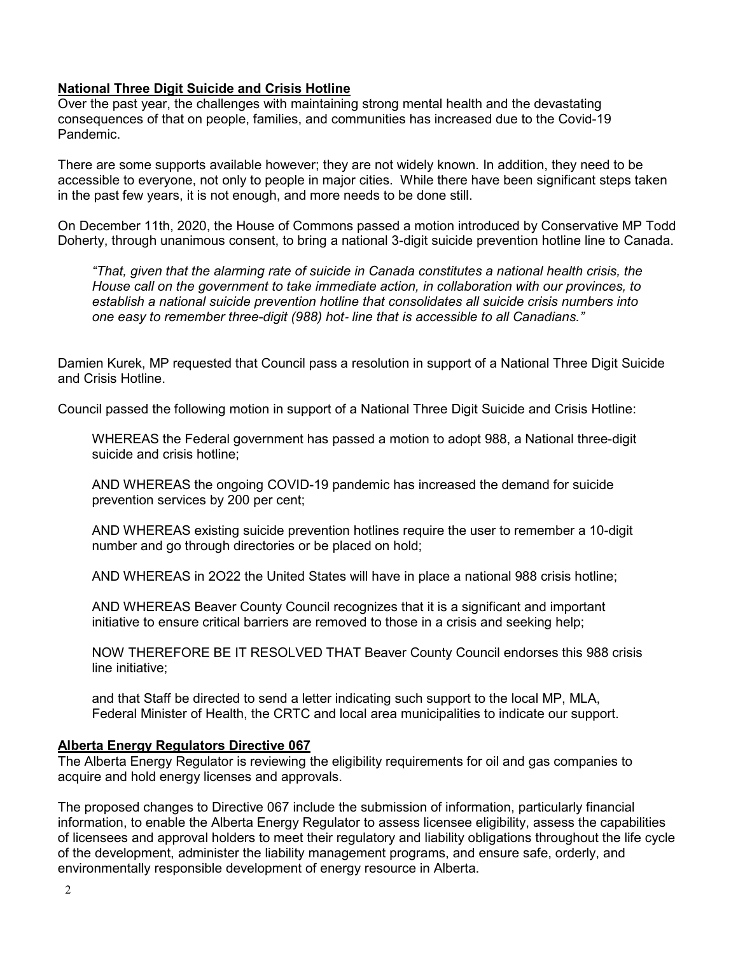### **National Three Digit Suicide and Crisis Hotline**

Over the past year, the challenges with maintaining strong mental health and the devastating consequences of that on people, families, and communities has increased due to the Covid-19 Pandemic.

There are some supports available however; they are not widely known. In addition, they need to be accessible to everyone, not only to people in major cities. While there have been significant steps taken in the past few years, it is not enough, and more needs to be done still.

On December 11th, 2020, the House of Commons passed a motion introduced by Conservative MP Todd Doherty, through unanimous consent, to bring a national 3-digit suicide prevention hotline line to Canada.

*"That, given that the alarming rate of suicide in Canada constitutes a national health crisis, the House call on the government to take immediate action, in collaboration with our provinces, to establish a national suicide prevention hotline that consolidates all suicide crisis numbers into one easy to remember three-digit (988) hot*‐ *line that is accessible to all Canadians."* 

Damien Kurek, MP requested that Council pass a resolution in support of a National Three Digit Suicide and Crisis Hotline.

Council passed the following motion in support of a National Three Digit Suicide and Crisis Hotline:

WHEREAS the Federal government has passed a motion to adopt 988, a National three-digit suicide and crisis hotline;

AND WHEREAS the ongoing COVID-19 pandemic has increased the demand for suicide prevention services by 200 per cent;

AND WHEREAS existing suicide prevention hotlines require the user to remember a 10-digit number and go through directories or be placed on hold;

AND WHEREAS in 2O22 the United States will have in place a national 988 crisis hotline;

AND WHEREAS Beaver County Council recognizes that it is a significant and important initiative to ensure critical barriers are removed to those in a crisis and seeking help;

NOW THEREFORE BE IT RESOLVED THAT Beaver County Council endorses this 988 crisis line initiative;

and that Staff be directed to send a letter indicating such support to the local MP, MLA, Federal Minister of Health, the CRTC and local area municipalities to indicate our support.

#### **Alberta Energy Regulators Directive 067**

The Alberta Energy Regulator is reviewing the eligibility requirements for oil and gas companies to acquire and hold energy licenses and approvals.

The proposed changes to Directive 067 include the submission of information, particularly financial information, to enable the Alberta Energy Regulator to assess licensee eligibility, assess the capabilities of licensees and approval holders to meet their regulatory and liability obligations throughout the life cycle of the development, administer the liability management programs, and ensure safe, orderly, and environmentally responsible development of energy resource in Alberta.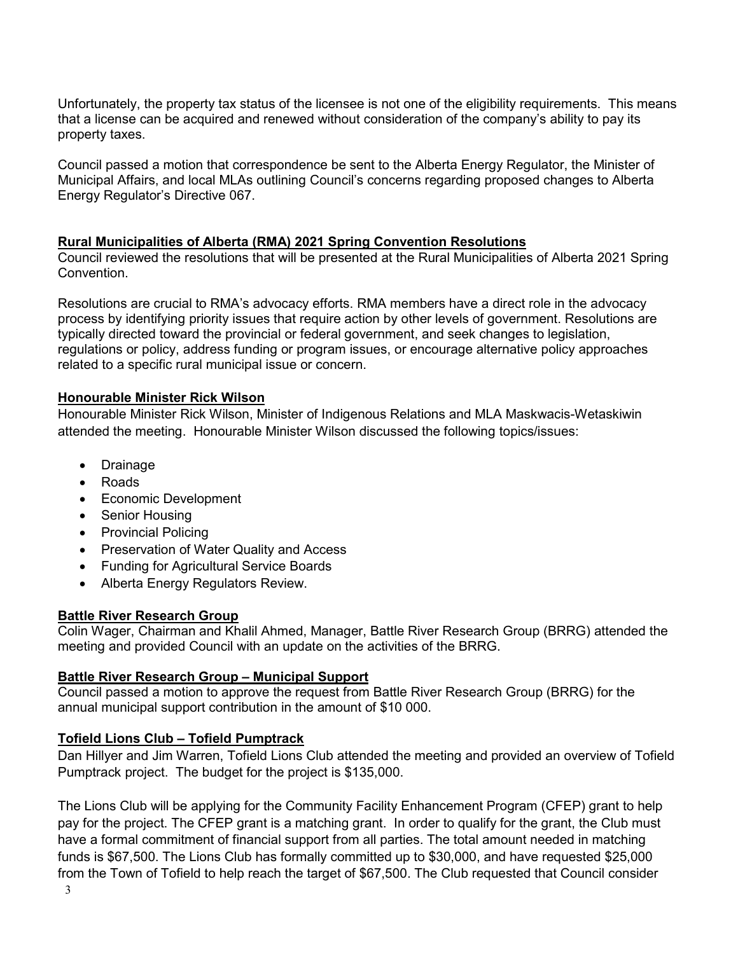Unfortunately, the property tax status of the licensee is not one of the eligibility requirements. This means that a license can be acquired and renewed without consideration of the company's ability to pay its property taxes.

Council passed a motion that correspondence be sent to the Alberta Energy Regulator, the Minister of Municipal Affairs, and local MLAs outlining Council's concerns regarding proposed changes to Alberta Energy Regulator's Directive 067.

#### **Rural Municipalities of Alberta (RMA) 2021 Spring Convention Resolutions**

Council reviewed the resolutions that will be presented at the Rural Municipalities of Alberta 2021 Spring Convention.

Resolutions are crucial to RMA's advocacy efforts. RMA members have a direct role in the advocacy process by identifying priority issues that require action by other levels of government. Resolutions are typically directed toward the provincial or federal government, and seek changes to legislation, regulations or policy, address funding or program issues, or encourage alternative policy approaches related to a specific rural municipal issue or concern.

#### **Honourable Minister Rick Wilson**

Honourable Minister Rick Wilson, Minister of Indigenous Relations and MLA Maskwacis-Wetaskiwin attended the meeting. Honourable Minister Wilson discussed the following topics/issues:

- Drainage
- Roads
- Economic Development
- Senior Housing
- Provincial Policing
- Preservation of Water Quality and Access
- Funding for Agricultural Service Boards
- Alberta Energy Regulators Review.

#### **Battle River Research Group**

Colin Wager, Chairman and Khalil Ahmed, Manager, Battle River Research Group (BRRG) attended the meeting and provided Council with an update on the activities of the BRRG.

#### **Battle River Research Group – Municipal Support**

Council passed a motion to approve the request from Battle River Research Group (BRRG) for the annual municipal support contribution in the amount of \$10 000.

#### **Tofield Lions Club – Tofield Pumptrack**

Dan Hillyer and Jim Warren, Tofield Lions Club attended the meeting and provided an overview of Tofield Pumptrack project. The budget for the project is \$135,000.

3 The Lions Club will be applying for the Community Facility Enhancement Program (CFEP) grant to help pay for the project. The CFEP grant is a matching grant. In order to qualify for the grant, the Club must have a formal commitment of financial support from all parties. The total amount needed in matching funds is \$67,500. The Lions Club has formally committed up to \$30,000, and have requested \$25,000 from the Town of Tofield to help reach the target of \$67,500. The Club requested that Council consider